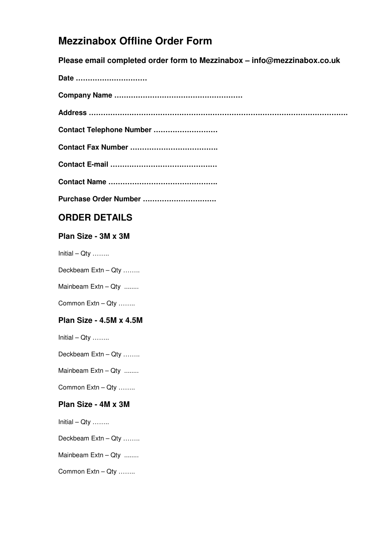# **Mezzinabox Offline Order Form**

**Please email completed order form to Mezzinabox – info@mezzinabox.co.uk** 

**Date ………………………… Company Name ……………………………………………… Address ………………………………………………………………………………………………. Contact Telephone Number ……………………… Contact Fax Number ………………………………. Contact E-mail ……………………………………… Contact Name ………………………………………. Purchase Order Number ………………………….** 

## **ORDER DETAILS**

### **Plan Size - 3M x 3M**

 $Initial - Qty$  ........

Deckbeam Extn – Qty ……..

Mainbeam Extn - Qty ........

Common Extn – Qty ……..

## **Plan Size - 4.5M x 4.5M**

 $Initial - Qty$  ........

Deckbeam Extn – Qty ……..

Mainbeam Extn - Qty ........

Common Extn – Qty ……..

## **Plan Size - 4M x 3M**

 $Initial - Qty$  ........

Deckbeam Extn – Qty ……..

Mainbeam Extn - Qty ........

Common Extn – Qty ……..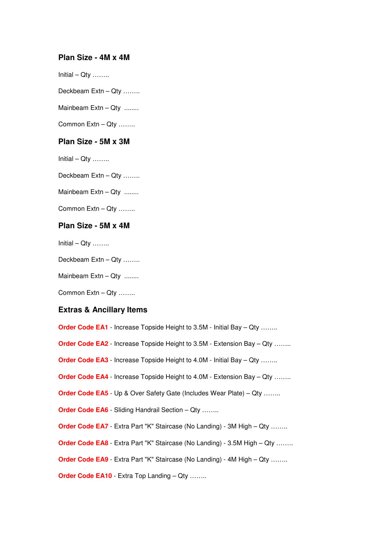#### **Plan Size - 4M x 4M**

 $Initial - Qty$  ........

Deckbeam Extn – Qty ……..

Mainbeam Extn - Qty ........

Common Extn – Qty ……..

#### **Plan Size - 5M x 3M**

Initial – Qty ……..

Deckbeam Extn - Qty ........

Mainbeam Extn – Qty ........

Common Extn – Qty ……..

#### **Plan Size - 5M x 4M**

 $Initial - Qty$  ........

Deckbeam Extn - Qty ........

Mainbeam Extn - Qty ........

Common Extn – Qty ……..

#### **Extras & Ancillary Items**

**Order Code EA1** - Increase Topside Height to 3.5M - Initial Bay – Qty ........

**Order Code EA2** - Increase Topside Height to 3.5M - Extension Bay – Qty ........

**Order Code EA3** - Increase Topside Height to 4.0M - Initial Bay – Qty ........

**Order Code EA4** - Increase Topside Height to 4.0M - Extension Bay - Qty ........

**Order Code EA5** - Up & Over Safety Gate (Includes Wear Plate) – Qty ........

**Order Code EA6** - Sliding Handrail Section – Qty ……..

**Order Code EA7** - Extra Part "K" Staircase (No Landing) - 3M High – Qty ........

**Order Code EA8** - Extra Part "K" Staircase (No Landing) - 3.5M High – Qty ........

**Order Code EA9** - Extra Part "K" Staircase (No Landing) - 4M High - Qty ........

**Order Code EA10** - Extra Top Landing – Qty ……..